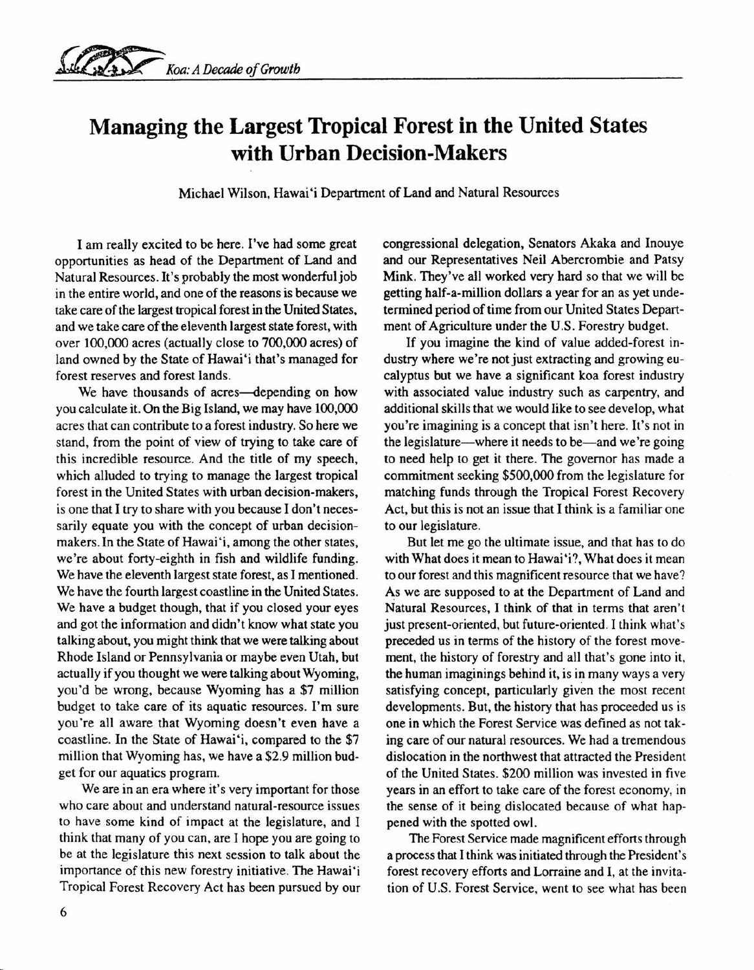## **Managing the Largest Tropical Forest in the United States with Urban Decision-Makers**

Michael Wilson, Hawai'i Department of Land and Natural Resources

I am really excited to be here. I've had some great opportunities as head of the Department of Land and Natural Resources. It's probably the most wonderful job in the entire world, and one of the reasons is because we take care of the largest tropical forest in the United States, and we take care of the eleventh largest state forest, with over 100,000 acres (actually close to 700,000 acres) of land owned by the State of Hawai'i that's managed for forest reserves and forest lands.

We have thousands of acres-depending on how you calculate it. On the Big Island, we may have 100,000 acres that can contribute to a forest industry. So here we stand, from the point of view of trying to take care of this incredible resource. And the title of my speech, which alluded to trying to manage the largest tropical forest in the United States with urban decision-makers, is one that I try to share with you because I don't necessarily equate you with the concept of urban decisionmakers. In the State of Hawai 'i, among the other states, we're about forty-eighth in fish and wildlife funding. We have the eleventh largest state forest, as I mentioned. We have the fourth largest coastline in the United States. We have a budget though, that if you closed your eyes and got the information and didn't know what state you talking about, you might think that we were talking about Rhode Island or Pennsylvania or maybe even Utah, but actually if you thought we were talking about Wyoming, you'd be wrong, because Wyoming has a \$7 million budget to take care of its aquatic resources. I'm sure you're all aware that Wyoming doesn't even have a coastline. In the State of Hawai'i, compared to the \$7 million that Wyoming has, we have a \$2.9 million budget for our aquatics program.

We are in an era where it's very important for those who care about and understand natural-resource issues to have some kind of impact at the legislature, and I think that many of you can, are I hope you are going to be at the legislature this next session to talk about the importance of this new forestry initiative. The Hawai'i Tropical Forest Recovery Act has been pursued by our congressional delegation, Senators Akaka and Inouye and our Representatives Neil Abercrombie and Patsy Mink. They've all worked very hard so that we will be getting half-a-million dollars a year for an as yet undetermined period of time from our United States Department of Agriculture under the U.S. Forestry budget.

If you imagine the kind of value added-forest industry where we're not just extracting and growing eucalyptus but we have a significant koa forest industry with associated value industry such as carpentry, and additional skills that we would like to see develop, what you're imagining is a concept that isn't here. It's not in the legislature—where it needs to be—and we're going to need help to get it there. The governor has made a commitment seeking \$500,000 from the legislature for matching funds through the Tropical Forest Recovery Act, but this is not an issue that I think is a familiar one to our legislature.

But let me go the ultimate issue, and that has to do with What does it mean to Hawai 'i?, What does it mean to our forest and this magnificent resource that we have? As we are supposed to at the Department of Land and Natural Resources, I think of that in terms that aren't just present-oriented, but future-oriented. I think what's preceded us in terms of the history of the forest movement, the history of forestry and all that's gone into it, the human imaginings behind it, is in many ways a very satisfying concept, particularly given the most recent developments. But, the history that has proceeded us is one in which the Forest Service was defined as not taking care of our natural resources. We had a tremendous dislocation in the northwest that attracted the President of the United States. \$200 million was invested in five years in an effort to take care of the forest economy, in the sense of it being dislocated because of what happened with the spotted owl.

The Forest Service made magnificent efforts through a process that I think was initiated through the President's forest recovery efforts and Lorraine and I, at the invitation of U.S. Forest Service, went to see what has been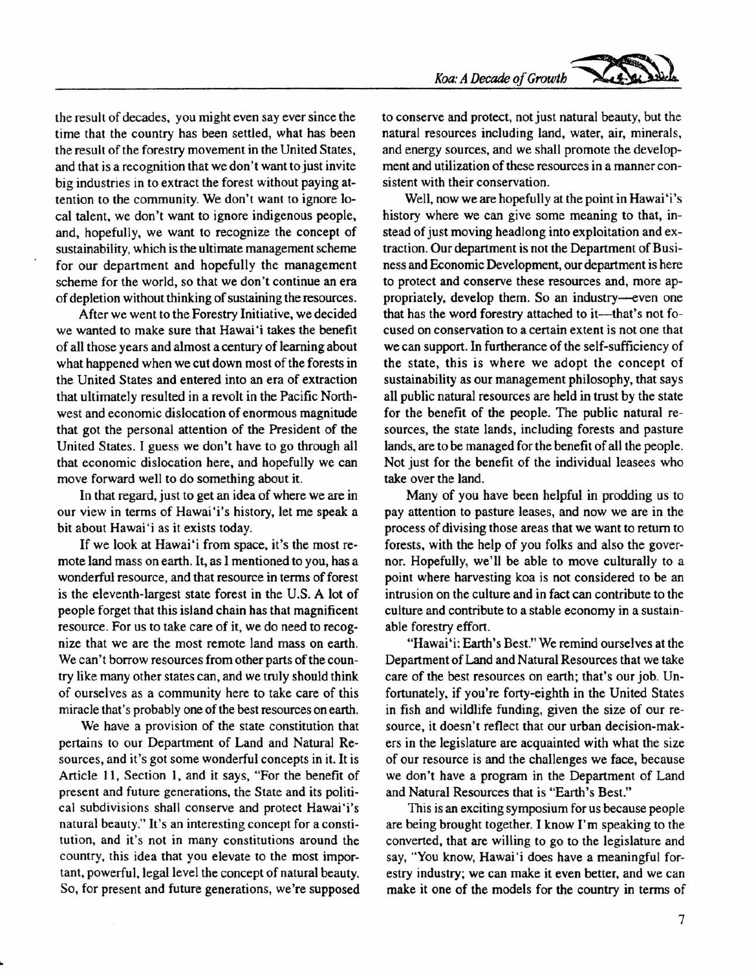the result of decades, you might even say ever since the time that the country has been settled, what has been the result of the forestry movement in the United States, and that is a recognition that we don't want to just invite big industries in to extract the forest without paying attention to the community. We don't want to ignore local talent, we don't want to ignore indigenous people, and, hopefully, we want to recognize the concept of sustainability, which is the ultimate management scheme for our department and hopefully the management scheme for the world, so that we don't continue an era of depletion without thinking of sustaining the resources.

After we went to the Forestry Initiative, we decided we wanted to make sure that Hawai'i takes the benefit of all those years and almost a century of learning about what happened when we cut down most of the forests in the United States and entered into an era of extraction that ultimately resulted in a revolt in the Pacific Northwest and economic dislocation of enormous magnitude that got the personal attention of the President of the United States. I guess we don't have to go through all that economic dislocation here, and hopefully we can move forward well to do something about it.

In that regard, just to get an idea of where we are in our view in terms of Hawai'i's history, let me speak a bit about Hawai'i as it exists today.

If we look at Hawai'i from space, it's the most remote land mass on earth. It, as I mentioned to you, has a wonderful resource, and that resource in terms of forest is the eleventh-largest state forest in the U.S. A lot of people forget that this island chain has that magnificent resource. For us to take care of it, we do need to recognize that we are the most remote land mass on earth. We can't borrow resources from other parts of the country like many other states can, and we truly should think of ourselves as a community here to take care of this miracle that's probably one of the best resources on earth.

We have a provision of the state constitution that pertains to our Department of Land and Natural Resources, and it's got some wonderful concepts in it. It is Article II, Section I, and it says, "For the benefit of present and future generations, the State and its political subdivisions shall conserve and protect Hawai'i's natural beauty." It's an interesting concept for a constitution, and it's not in many constitutions around the country, this idea that you elevate to the most important, powerful, legal level the concept of natural beauty. So, for present and future generations, we're supposed to conserve and protect, not just natural beauty, but the natural resources including land, water, air, minerals, and energy sources, and we shall promote the development and utilization of these resources in a manner consistent with their conservation.

Well, now we are hopefully at the point in Hawai 'i's history where we can give some meaning to that, instead of just moving headlong into exploitation and extraction. Our department is not the Department of Business and Economic Development, our department is here to protect and conserve these resources and, more appropriately, develop them. So an industry-even one that has the word forestry attached to it-that's not focused on conservation to a certain extent is not one that we can support. In furtherance of the self-sufficiency of the state, this is where we adopt the concept of sustainability as our management philosophy, that says all public natural resources are held in trust by the state for the benefit of the people. The public natural resources, the state lands, including forests and pasture lands, are to be managed for the benefit of all the people. Not just for the benefit of the individual leasees who take over the land.

Many of you have been helpful in prodding us to pay attention to pasture leases, and now we are in the process of divising those areas that we want to return to forests, with the help of you folks and also the governor. Hopefully, we'll be able to move culturally to a point where harvesting koa is not considered to be an intrusion on the culture and in fact can contribute to the culture and contribute to a stable economy in a sustainable forestry effort.

"Hawai 'i: Earth's Best." We remind ourselves at the Department of Land and Natural Resources that we take care of the best resources on earth; that's our job. Unfortunately, if you're forty-eighth in the United States in fish and wildlife funding, given the size of our resource, it doesn't reflect that our urban decision-makers in the legislature are acquainted with what the size of our resource is and the challenges we face, because we don't have a program in the Department of Land and Natural Resources that is "Earth's Best."

This is an exciting symposium for us because people are being brought together. I know I'm speaking to the converted, that are willing to go to the legislature and say, "You know, Hawai'i does have a meaningful forestry industry; we can make it even better, and we can make it one of the models for the country in terms of